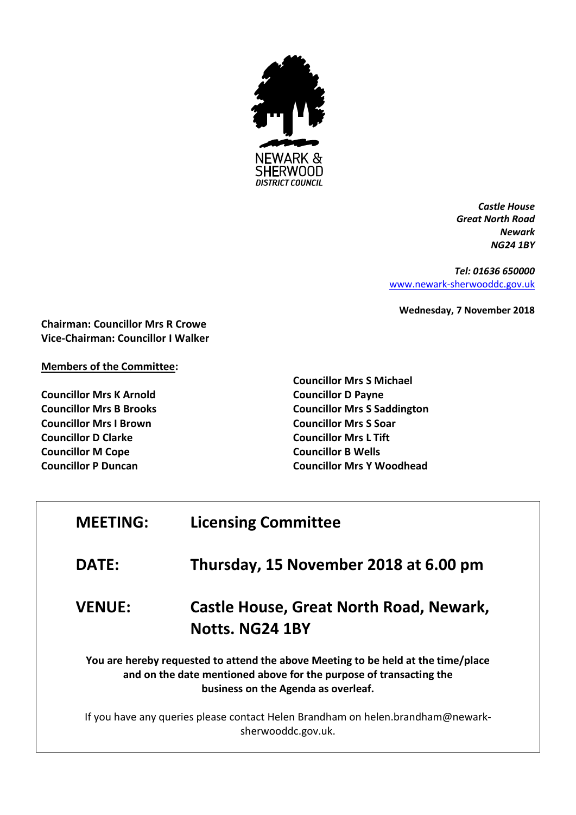

*Castle House Great North Road Newark NG24 1BY*

*Tel: 01636 650000* [www.newark-sherwooddc.gov.uk](http://www.newark-sherwooddc.gov.uk/)

**Wednesday, 7 November 2018**

**Chairman: Councillor Mrs R Crowe Vice-Chairman: Councillor I Walker**

## **Members of the Committee:**

**Councillor Mrs K Arnold Councillor Mrs B Brooks Councillor Mrs I Brown Councillor D Clarke Councillor M Cope Councillor P Duncan**

**Councillor Mrs S Michael Councillor D Payne Councillor Mrs S Saddington Councillor Mrs S Soar Councillor Mrs L Tift Councillor B Wells Councillor Mrs Y Woodhead**

| <b>MEETING:</b>                                                                                       | <b>Licensing Committee</b>                                                                                                                                                                     |  |
|-------------------------------------------------------------------------------------------------------|------------------------------------------------------------------------------------------------------------------------------------------------------------------------------------------------|--|
| <b>DATE:</b>                                                                                          | Thursday, 15 November 2018 at 6.00 pm                                                                                                                                                          |  |
| <b>VENUE:</b>                                                                                         | Castle House, Great North Road, Newark,<br>Notts. NG24 1BY                                                                                                                                     |  |
|                                                                                                       | You are hereby requested to attend the above Meeting to be held at the time/place<br>and on the date mentioned above for the purpose of transacting the<br>business on the Agenda as overleaf. |  |
| If you have any queries please contact Helen Brandham on helen.brandham@newark-<br>sherwooddc.gov.uk. |                                                                                                                                                                                                |  |